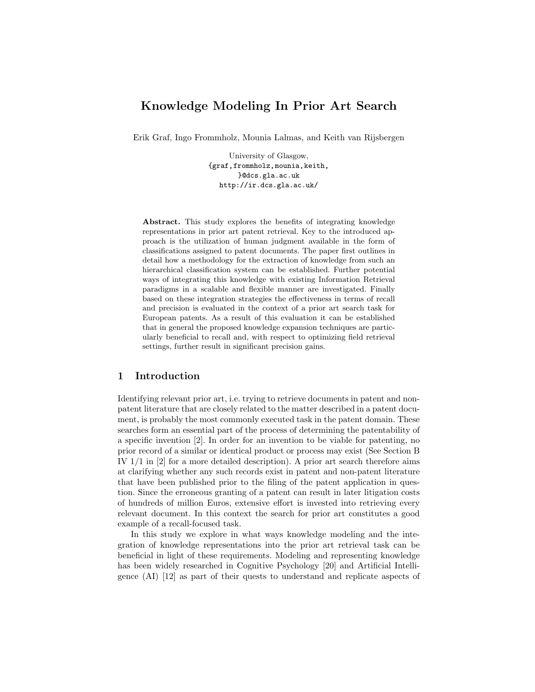# Knowledge Modeling In Prior Art Search

Erik Graf, Ingo Frommholz, Mounia Lalmas, and Keith van Rijsbergen

University of Glasgow, {graf,frommholz,mounia,keith, }@dcs.gla.ac.uk http://ir.dcs.gla.ac.uk/

Abstract. This study explores the benefits of integrating knowledge representations in prior art patent retrieval. Key to the introduced approach is the utilization of human judgment available in the form of classifications assigned to patent documents. The paper first outlines in detail how a methodology for the extraction of knowledge from such an hierarchical classification system can be established. Further potential ways of integrating this knowledge with existing Information Retrieval paradigms in a scalable and flexible manner are investigated. Finally based on these integration strategies the effectiveness in terms of recall and precision is evaluated in the context of a prior art search task for European patents. As a result of this evaluation it can be established that in general the proposed knowledge expansion techniques are particularly beneficial to recall and, with respect to optimizing field retrieval settings, further result in significant precision gains.

# 1 Introduction

Identifying relevant prior art, i.e. trying to retrieve documents in patent and nonpatent literature that are closely related to the matter described in a patent document, is probably the most commonly executed task in the patent domain. These searches form an essential part of the process of determining the patentability of a specific invention [2]. In order for an invention to be viable for patenting, no prior record of a similar or identical product or process may exist (See Section B IV 1/1 in [2] for a more detailed description). A prior art search therefore aims at clarifying whether any such records exist in patent and non-patent literature that have been published prior to the filing of the patent application in question. Since the erroneous granting of a patent can result in later litigation costs of hundreds of million Euros, extensive effort is invested into retrieving every relevant document. In this context the search for prior art constitutes a good example of a recall-focused task.

In this study we explore in what ways knowledge modeling and the integration of knowledge representations into the prior art retrieval task can be beneficial in light of these requirements. Modeling and representing knowledge has been widely researched in Cognitive Psychology [20] and Artificial Intelligence (AI) [12] as part of their quests to understand and replicate aspects of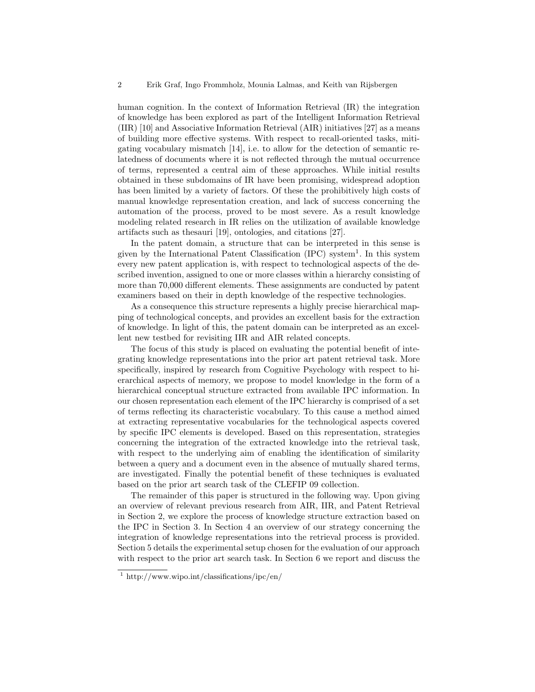human cognition. In the context of Information Retrieval (IR) the integration of knowledge has been explored as part of the Intelligent Information Retrieval (IIR) [10] and Associative Information Retrieval (AIR) initiatives [27] as a means of building more effective systems. With respect to recall-oriented tasks, mitigating vocabulary mismatch [14], i.e. to allow for the detection of semantic relatedness of documents where it is not reflected through the mutual occurrence of terms, represented a central aim of these approaches. While initial results obtained in these subdomains of IR have been promising, widespread adoption has been limited by a variety of factors. Of these the prohibitively high costs of manual knowledge representation creation, and lack of success concerning the automation of the process, proved to be most severe. As a result knowledge modeling related research in IR relies on the utilization of available knowledge artifacts such as thesauri [19], ontologies, and citations [27].

In the patent domain, a structure that can be interpreted in this sense is given by the International Patent Classification  $(IPC)$  system<sup>1</sup>. In this system every new patent application is, with respect to technological aspects of the described invention, assigned to one or more classes within a hierarchy consisting of more than 70,000 different elements. These assignments are conducted by patent examiners based on their in depth knowledge of the respective technologies.

As a consequence this structure represents a highly precise hierarchical mapping of technological concepts, and provides an excellent basis for the extraction of knowledge. In light of this, the patent domain can be interpreted as an excellent new testbed for revisiting IIR and AIR related concepts.

The focus of this study is placed on evaluating the potential benefit of integrating knowledge representations into the prior art patent retrieval task. More specifically, inspired by research from Cognitive Psychology with respect to hierarchical aspects of memory, we propose to model knowledge in the form of a hierarchical conceptual structure extracted from available IPC information. In our chosen representation each element of the IPC hierarchy is comprised of a set of terms reflecting its characteristic vocabulary. To this cause a method aimed at extracting representative vocabularies for the technological aspects covered by specific IPC elements is developed. Based on this representation, strategies concerning the integration of the extracted knowledge into the retrieval task, with respect to the underlying aim of enabling the identification of similarity between a query and a document even in the absence of mutually shared terms, are investigated. Finally the potential benefit of these techniques is evaluated based on the prior art search task of the CLEFIP 09 collection.

The remainder of this paper is structured in the following way. Upon giving an overview of relevant previous research from AIR, IIR, and Patent Retrieval in Section 2, we explore the process of knowledge structure extraction based on the IPC in Section 3. In Section 4 an overview of our strategy concerning the integration of knowledge representations into the retrieval process is provided. Section 5 details the experimental setup chosen for the evaluation of our approach with respect to the prior art search task. In Section 6 we report and discuss the

<sup>&</sup>lt;sup>1</sup> http://www.wipo.int/classifications/ipc/en/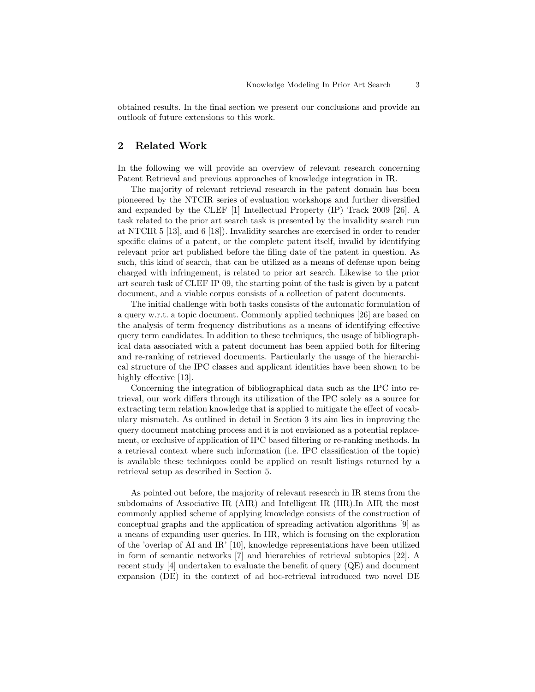obtained results. In the final section we present our conclusions and provide an outlook of future extensions to this work.

# 2 Related Work

In the following we will provide an overview of relevant research concerning Patent Retrieval and previous approaches of knowledge integration in IR.

The majority of relevant retrieval research in the patent domain has been pioneered by the NTCIR series of evaluation workshops and further diversified and expanded by the CLEF [1] Intellectual Property (IP) Track 2009 [26]. A task related to the prior art search task is presented by the invalidity search run at NTCIR 5 [13], and 6 [18]). Invalidity searches are exercised in order to render specific claims of a patent, or the complete patent itself, invalid by identifying relevant prior art published before the filing date of the patent in question. As such, this kind of search, that can be utilized as a means of defense upon being charged with infringement, is related to prior art search. Likewise to the prior art search task of CLEF IP 09, the starting point of the task is given by a patent document, and a viable corpus consists of a collection of patent documents.

The initial challenge with both tasks consists of the automatic formulation of a query w.r.t. a topic document. Commonly applied techniques [26] are based on the analysis of term frequency distributions as a means of identifying effective query term candidates. In addition to these techniques, the usage of bibliographical data associated with a patent document has been applied both for filtering and re-ranking of retrieved documents. Particularly the usage of the hierarchical structure of the IPC classes and applicant identities have been shown to be highly effective [13].

Concerning the integration of bibliographical data such as the IPC into retrieval, our work differs through its utilization of the IPC solely as a source for extracting term relation knowledge that is applied to mitigate the effect of vocabulary mismatch. As outlined in detail in Section 3 its aim lies in improving the query document matching process and it is not envisioned as a potential replacement, or exclusive of application of IPC based filtering or re-ranking methods. In a retrieval context where such information (i.e. IPC classification of the topic) is available these techniques could be applied on result listings returned by a retrieval setup as described in Section 5.

As pointed out before, the majority of relevant research in IR stems from the subdomains of Associative IR (AIR) and Intelligent IR (IIR).In AIR the most commonly applied scheme of applying knowledge consists of the construction of conceptual graphs and the application of spreading activation algorithms [9] as a means of expanding user queries. In IIR, which is focusing on the exploration of the 'overlap of AI and IR' [10], knowledge representations have been utilized in form of semantic networks [7] and hierarchies of retrieval subtopics [22]. A recent study [4] undertaken to evaluate the benefit of query (QE) and document expansion (DE) in the context of ad hoc-retrieval introduced two novel DE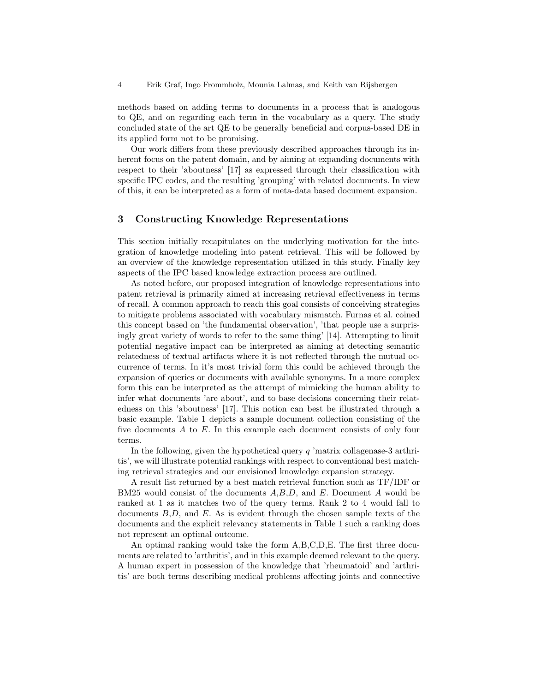methods based on adding terms to documents in a process that is analogous to QE, and on regarding each term in the vocabulary as a query. The study concluded state of the art QE to be generally beneficial and corpus-based DE in its applied form not to be promising.

Our work differs from these previously described approaches through its inherent focus on the patent domain, and by aiming at expanding documents with respect to their 'aboutness' [17] as expressed through their classification with specific IPC codes, and the resulting 'grouping' with related documents. In view of this, it can be interpreted as a form of meta-data based document expansion.

#### 3 Constructing Knowledge Representations

This section initially recapitulates on the underlying motivation for the integration of knowledge modeling into patent retrieval. This will be followed by an overview of the knowledge representation utilized in this study. Finally key aspects of the IPC based knowledge extraction process are outlined.

As noted before, our proposed integration of knowledge representations into patent retrieval is primarily aimed at increasing retrieval effectiveness in terms of recall. A common approach to reach this goal consists of conceiving strategies to mitigate problems associated with vocabulary mismatch. Furnas et al. coined this concept based on 'the fundamental observation', 'that people use a surprisingly great variety of words to refer to the same thing' [14]. Attempting to limit potential negative impact can be interpreted as aiming at detecting semantic relatedness of textual artifacts where it is not reflected through the mutual occurrence of terms. In it's most trivial form this could be achieved through the expansion of queries or documents with available synonyms. In a more complex form this can be interpreted as the attempt of mimicking the human ability to infer what documents 'are about', and to base decisions concerning their relatedness on this 'aboutness' [17]. This notion can best be illustrated through a basic example. Table 1 depicts a sample document collection consisting of the five documents A to E. In this example each document consists of only four terms.

In the following, given the hypothetical query  $q$  'matrix collagenase-3 arthritis', we will illustrate potential rankings with respect to conventional best matching retrieval strategies and our envisioned knowledge expansion strategy.

A result list returned by a best match retrieval function such as TF/IDF or BM25 would consist of the documents  $A, B, D$ , and E. Document A would be ranked at 1 as it matches two of the query terms. Rank 2 to 4 would fall to documents  $B, D$ , and  $E$ . As is evident through the chosen sample texts of the documents and the explicit relevancy statements in Table 1 such a ranking does not represent an optimal outcome.

An optimal ranking would take the form A,B,C,D,E. The first three documents are related to 'arthritis', and in this example deemed relevant to the query. A human expert in possession of the knowledge that 'rheumatoid' and 'arthritis' are both terms describing medical problems affecting joints and connective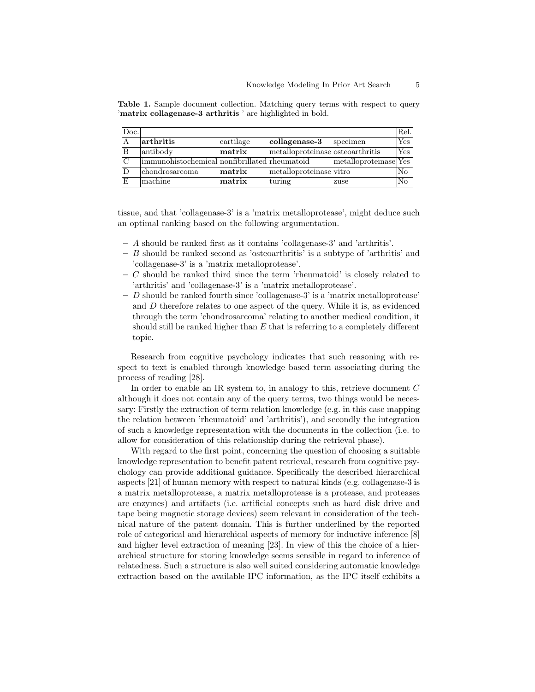| $\overline{\text{Doc}}$ . |                                               |           |                                  |                                      | Rel.     |
|---------------------------|-----------------------------------------------|-----------|----------------------------------|--------------------------------------|----------|
|                           | arthritis                                     | cartilage | collagenase-3                    | specimen                             | Yes      |
| lВ                        | antibody                                      | matrix    | metalloproteinase osteoarthritis |                                      | Yes      |
| C                         | immunohistochemical nonfibrillated rheumatoid |           |                                  | $metalloproteinase$ <sup>[Yes]</sup> |          |
|                           | chondrosarcoma                                | matrix    | metalloproteinase vitro          |                                      | $\rm No$ |
| E                         | machine                                       | matrix    | turing                           | zuse                                 | No       |

Table 1. Sample document collection. Matching query terms with respect to query 'matrix collagenase-3 arthritis ' are highlighted in bold.

tissue, and that 'collagenase-3' is a 'matrix metalloprotease', might deduce such an optimal ranking based on the following argumentation.

- A should be ranked first as it contains 'collagenase-3' and 'arthritis'.
- $-$  B should be ranked second as 'osteoarthritis' is a subtype of 'arthritis' and 'collagenase-3' is a 'matrix metalloprotease'.
- $-$  C should be ranked third since the term 'rheumatoid' is closely related to 'arthritis' and 'collagenase-3' is a 'matrix metalloprotease'.
- $-$  D should be ranked fourth since 'collagenase-3' is a 'matrix metalloprotease' and D therefore relates to one aspect of the query. While it is, as evidenced through the term 'chondrosarcoma' relating to another medical condition, it should still be ranked higher than  $E$  that is referring to a completely different topic.

Research from cognitive psychology indicates that such reasoning with respect to text is enabled through knowledge based term associating during the process of reading [28].

In order to enable an IR system to, in analogy to this, retrieve document  $C$ although it does not contain any of the query terms, two things would be necessary: Firstly the extraction of term relation knowledge (e.g. in this case mapping the relation between 'rheumatoid' and 'arthritis'), and secondly the integration of such a knowledge representation with the documents in the collection (i.e. to allow for consideration of this relationship during the retrieval phase).

With regard to the first point, concerning the question of choosing a suitable knowledge representation to benefit patent retrieval, research from cognitive psychology can provide additional guidance. Specifically the described hierarchical aspects [21] of human memory with respect to natural kinds (e.g. collagenase-3 is a matrix metalloprotease, a matrix metalloprotease is a protease, and proteases are enzymes) and artifacts (i.e. artificial concepts such as hard disk drive and tape being magnetic storage devices) seem relevant in consideration of the technical nature of the patent domain. This is further underlined by the reported role of categorical and hierarchical aspects of memory for inductive inference [8] and higher level extraction of meaning [23]. In view of this the choice of a hierarchical structure for storing knowledge seems sensible in regard to inference of relatedness. Such a structure is also well suited considering automatic knowledge extraction based on the available IPC information, as the IPC itself exhibits a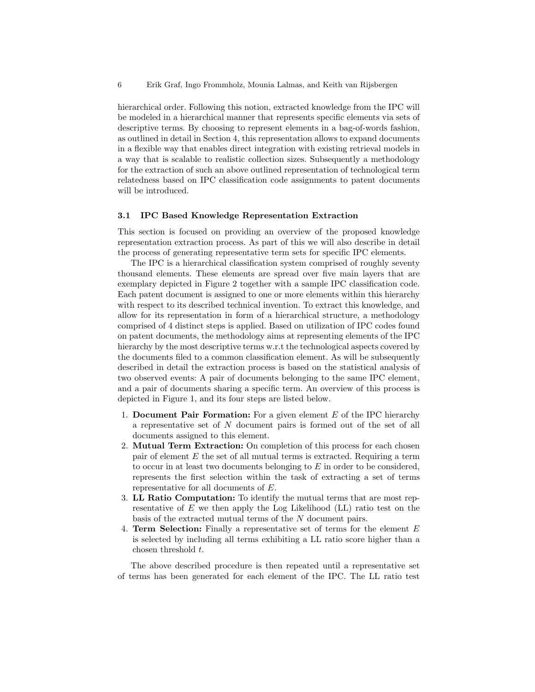hierarchical order. Following this notion, extracted knowledge from the IPC will be modeled in a hierarchical manner that represents specific elements via sets of descriptive terms. By choosing to represent elements in a bag-of-words fashion, as outlined in detail in Section 4, this representation allows to expand documents in a flexible way that enables direct integration with existing retrieval models in a way that is scalable to realistic collection sizes. Subsequently a methodology for the extraction of such an above outlined representation of technological term relatedness based on IPC classification code assignments to patent documents will be introduced.

#### 3.1 IPC Based Knowledge Representation Extraction

This section is focused on providing an overview of the proposed knowledge representation extraction process. As part of this we will also describe in detail the process of generating representative term sets for specific IPC elements.

The IPC is a hierarchical classification system comprised of roughly seventy thousand elements. These elements are spread over five main layers that are exemplary depicted in Figure 2 together with a sample IPC classification code. Each patent document is assigned to one or more elements within this hierarchy with respect to its described technical invention. To extract this knowledge, and allow for its representation in form of a hierarchical structure, a methodology comprised of 4 distinct steps is applied. Based on utilization of IPC codes found on patent documents, the methodology aims at representing elements of the IPC hierarchy by the most descriptive terms w.r.t the technological aspects covered by the documents filed to a common classification element. As will be subsequently described in detail the extraction process is based on the statistical analysis of two observed events: A pair of documents belonging to the same IPC element, and a pair of documents sharing a specific term. An overview of this process is depicted in Figure 1, and its four steps are listed below.

- 1. Document Pair Formation: For a given element  $E$  of the IPC hierarchy a representative set of N document pairs is formed out of the set of all documents assigned to this element.
- 2. Mutual Term Extraction: On completion of this process for each chosen pair of element E the set of all mutual terms is extracted. Requiring a term to occur in at least two documents belonging to  $E$  in order to be considered, represents the first selection within the task of extracting a set of terms representative for all documents of E.
- 3. LL Ratio Computation: To identify the mutual terms that are most representative of  $E$  we then apply the Log Likelihood (LL) ratio test on the basis of the extracted mutual terms of the N document pairs.
- 4. Term Selection: Finally a representative set of terms for the element  $E$ is selected by including all terms exhibiting a LL ratio score higher than a chosen threshold t.

The above described procedure is then repeated until a representative set of terms has been generated for each element of the IPC. The LL ratio test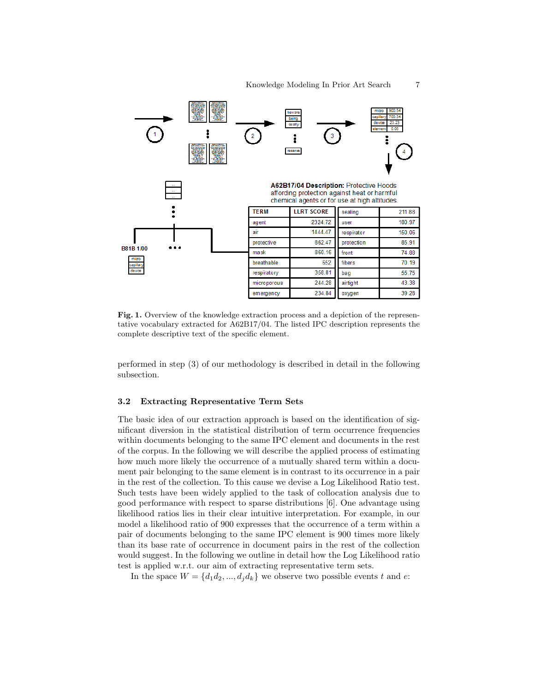

Fig. 1. Overview of the knowledge extraction process and a depiction of the representative vocabulary extracted for A62B17/04. The listed IPC description represents the complete descriptive text of the specific element.

performed in step (3) of our methodology is described in detail in the following subsection.

#### 3.2 Extracting Representative Term Sets

The basic idea of our extraction approach is based on the identification of significant diversion in the statistical distribution of term occurrence frequencies within documents belonging to the same IPC element and documents in the rest of the corpus. In the following we will describe the applied process of estimating how much more likely the occurrence of a mutually shared term within a document pair belonging to the same element is in contrast to its occurrence in a pair in the rest of the collection. To this cause we devise a Log Likelihood Ratio test. Such tests have been widely applied to the task of collocation analysis due to good performance with respect to sparse distributions [6]. One advantage using likelihood ratios lies in their clear intuitive interpretation. For example, in our model a likelihood ratio of 900 expresses that the occurrence of a term within a pair of documents belonging to the same IPC element is 900 times more likely than its base rate of occurrence in document pairs in the rest of the collection would suggest. In the following we outline in detail how the Log Likelihood ratio test is applied w.r.t. our aim of extracting representative term sets.

In the space  $W = \{d_1d_2, ..., d_jd_k\}$  we observe two possible events t and e: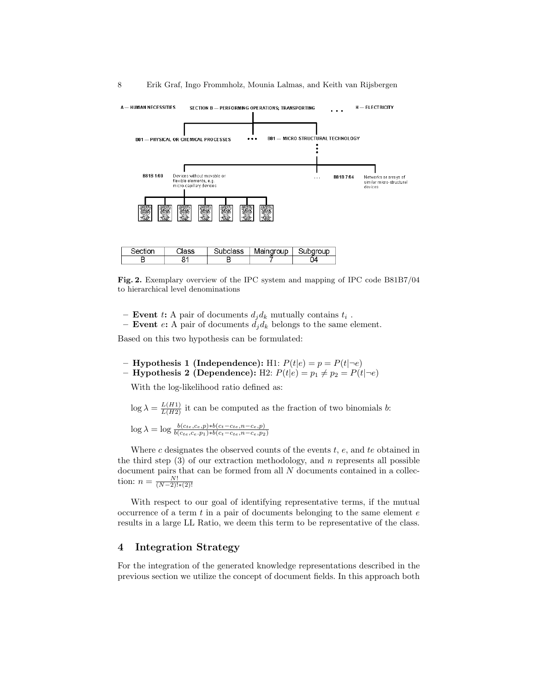



Fig. 2. Exemplary overview of the IPC system and mapping of IPC code B81B7/04 to hierarchical level denominations

- **Event** t: A pair of documents  $d_j d_k$  mutually contains  $t_i$ .
- **Event** e: A pair of documents  $d_j d_k$  belongs to the same element.

Based on this two hypothesis can be formulated:

- Hypothesis 1 (Independence): H1:  $P(t|e) = p = P(t|\neg e)$
- Hypothesis 2 (Dependence): H2:  $P(t|e) = p_1 \neq p_2 = P(t|\neg e)$

With the log-likelihood ratio defined as:

 $\log \lambda = \frac{L(H_1)}{L(H_2)}$  it can be computed as the fraction of two binomials b:

$$
\log \lambda = \log \frac{b(c_{te}, c_e, p) * b(c_t - c_{te}, n - c_e, p)}{b(c_{te}, c_e, p_1) * b(c_t - c_{te}, n - c_e, p_2)}
$$

Where  $c$  designates the observed counts of the events  $t, e$ , and  $te$  obtained in the third step  $(3)$  of our extraction methodology, and n represents all possible document pairs that can be formed from all  $N$  documents contained in a collection:  $n = \frac{N!}{(N-2)!(N-2)!}$ 

With respect to our goal of identifying representative terms, if the mutual occurrence of a term  $t$  in a pair of documents belonging to the same element  $e$ results in a large LL Ratio, we deem this term to be representative of the class.

# 4 Integration Strategy

For the integration of the generated knowledge representations described in the previous section we utilize the concept of document fields. In this approach both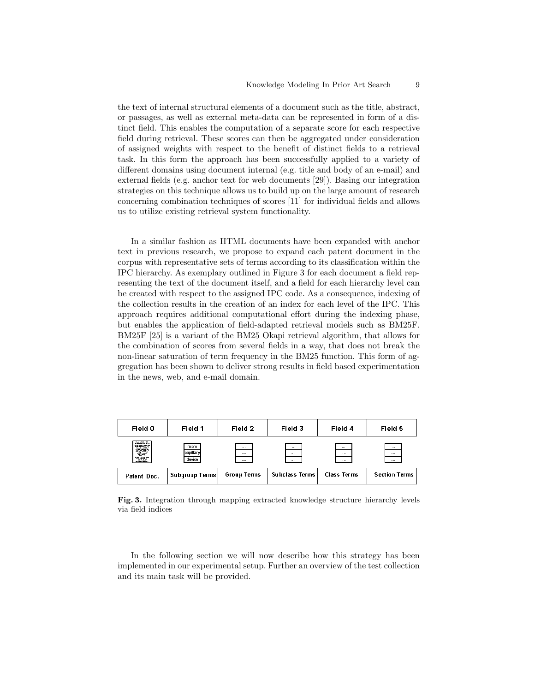the text of internal structural elements of a document such as the title, abstract, or passages, as well as external meta-data can be represented in form of a distinct field. This enables the computation of a separate score for each respective field during retrieval. These scores can then be aggregated under consideration of assigned weights with respect to the benefit of distinct fields to a retrieval task. In this form the approach has been successfully applied to a variety of different domains using document internal (e.g. title and body of an e-mail) and external fields (e.g. anchor text for web documents [29]). Basing our integration strategies on this technique allows us to build up on the large amount of research concerning combination techniques of scores [11] for individual fields and allows us to utilize existing retrieval system functionality.

In a similar fashion as HTML documents have been expanded with anchor text in previous research, we propose to expand each patent document in the corpus with representative sets of terms according to its classification within the IPC hierarchy. As exemplary outlined in Figure 3 for each document a field representing the text of the document itself, and a field for each hierarchy level can be created with respect to the assigned IPC code. As a consequence, indexing of the collection results in the creation of an index for each level of the IPC. This approach requires additional computational effort during the indexing phase, but enables the application of field-adapted retrieval models such as BM25F. BM25F [25] is a variant of the BM25 Okapi retrieval algorithm, that allows for the combination of scores from several fields in a way, that does not break the non-linear saturation of term frequency in the BM25 function. This form of aggregation has been shown to deliver strong results in field based experimentation in the news, web, and e-mail domain.

| Field 0     | Field 1                      | Field 2            | Field 3          | Field 4            | Field 5              |
|-------------|------------------------------|--------------------|------------------|--------------------|----------------------|
| 325607.     | micro<br>capillary<br>device | $\cdots$<br><br>   | $\cdots$<br><br> | $\cdots$<br><br>   | <br><br>             |
| Patent Doc. | <b>Subgroup Terms</b>        | <b>Group Terms</b> | Subclass Terms   | <b>Class Terms</b> | <b>Section Terms</b> |

Fig. 3. Integration through mapping extracted knowledge structure hierarchy levels via field indices

In the following section we will now describe how this strategy has been implemented in our experimental setup. Further an overview of the test collection and its main task will be provided.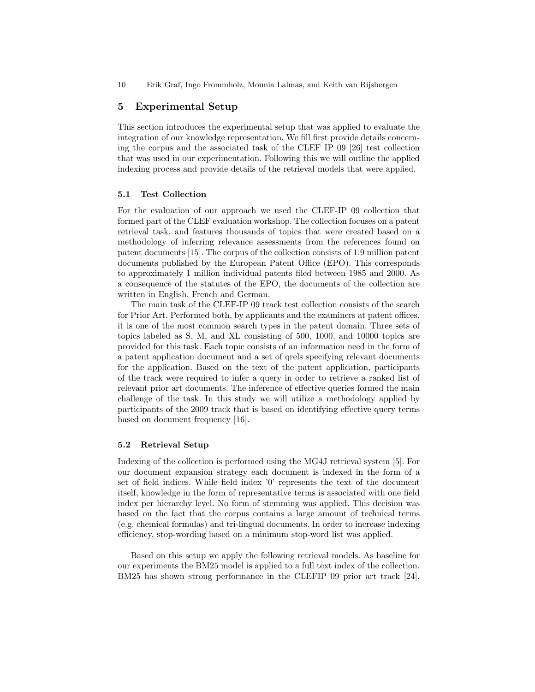10 Erik Graf, Ingo Frommholz, Mounia Lalmas, and Keith van Rijsbergen

## 5 Experimental Setup

This section introduces the experimental setup that was applied to evaluate the integration of our knowledge representation. We fill first provide details concerning the corpus and the associated task of the CLEF IP 09 [26] test collection that was used in our experimentation. Following this we will outline the applied indexing process and provide details of the retrieval models that were applied.

#### 5.1 Test Collection

For the evaluation of our approach we used the CLEF-IP 09 collection that formed part of the CLEF evaluation workshop. The collection focuses on a patent retrieval task, and features thousands of topics that were created based on a methodology of inferring relevance assessments from the references found on patent documents [15]. The corpus of the collection consists of 1.9 million patent documents published by the European Patent Office (EPO). This corresponds to approximately 1 million individual patents filed between 1985 and 2000. As a consequence of the statutes of the EPO, the documents of the collection are written in English, French and German.

The main task of the CLEF-IP 09 track test collection consists of the search for Prior Art. Performed both, by applicants and the examiners at patent offices, it is one of the most common search types in the patent domain. Three sets of topics labeled as S, M, and XL consisting of 500, 1000, and 10000 topics are provided for this task. Each topic consists of an information need in the form of a patent application document and a set of qrels specifying relevant documents for the application. Based on the text of the patent application, participants of the track were required to infer a query in order to retrieve a ranked list of relevant prior art documents. The inference of effective queries formed the main challenge of the task. In this study we will utilize a methodology applied by participants of the 2009 track that is based on identifying effective query terms based on document frequency [16].

#### 5.2 Retrieval Setup

Indexing of the collection is performed using the MG4J retrieval system [5]. For our document expansion strategy each document is indexed in the form of a set of field indices. While field index '0' represents the text of the document itself, knowledge in the form of representative terms is associated with one field index per hierarchy level. No form of stemming was applied. This decision was based on the fact that the corpus contains a large amount of technical terms (e.g. chemical formulas) and tri-lingual documents. In order to increase indexing efficiency, stop-wording based on a minimum stop-word list was applied.

Based on this setup we apply the following retrieval models. As baseline for our experiments the BM25 model is applied to a full text index of the collection. BM25 has shown strong performance in the CLEFIP 09 prior art track [24].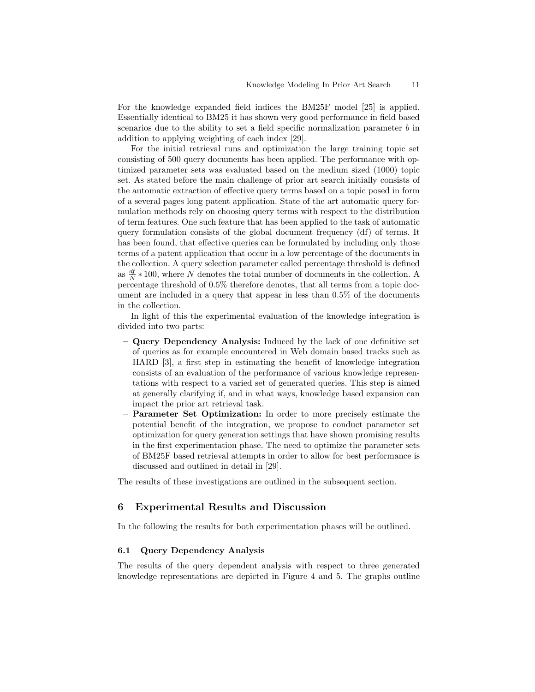For the knowledge expanded field indices the BM25F model [25] is applied. Essentially identical to BM25 it has shown very good performance in field based scenarios due to the ability to set a field specific normalization parameter  $b$  in addition to applying weighting of each index [29].

For the initial retrieval runs and optimization the large training topic set consisting of 500 query documents has been applied. The performance with optimized parameter sets was evaluated based on the medium sized (1000) topic set. As stated before the main challenge of prior art search initially consists of the automatic extraction of effective query terms based on a topic posed in form of a several pages long patent application. State of the art automatic query formulation methods rely on choosing query terms with respect to the distribution of term features. One such feature that has been applied to the task of automatic query formulation consists of the global document frequency (df) of terms. It has been found, that effective queries can be formulated by including only those terms of a patent application that occur in a low percentage of the documents in the collection. A query selection parameter called percentage threshold is defined as  $\frac{df}{N} * 100$ , where N denotes the total number of documents in the collection. A percentage threshold of 0.5% therefore denotes, that all terms from a topic document are included in a query that appear in less than 0.5% of the documents in the collection.

In light of this the experimental evaluation of the knowledge integration is divided into two parts:

- Query Dependency Analysis: Induced by the lack of one definitive set of queries as for example encountered in Web domain based tracks such as HARD [3], a first step in estimating the benefit of knowledge integration consists of an evaluation of the performance of various knowledge representations with respect to a varied set of generated queries. This step is aimed at generally clarifying if, and in what ways, knowledge based expansion can impact the prior art retrieval task.
- Parameter Set Optimization: In order to more precisely estimate the potential benefit of the integration, we propose to conduct parameter set optimization for query generation settings that have shown promising results in the first experimentation phase. The need to optimize the parameter sets of BM25F based retrieval attempts in order to allow for best performance is discussed and outlined in detail in [29].

The results of these investigations are outlined in the subsequent section.

# 6 Experimental Results and Discussion

In the following the results for both experimentation phases will be outlined.

#### 6.1 Query Dependency Analysis

The results of the query dependent analysis with respect to three generated knowledge representations are depicted in Figure 4 and 5. The graphs outline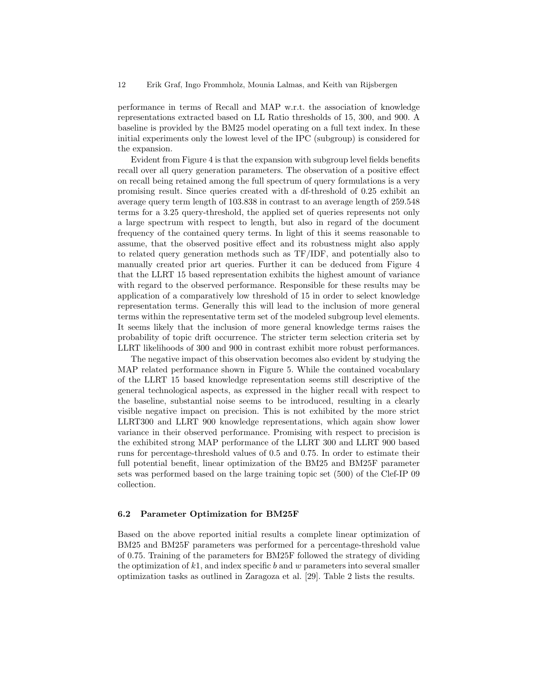performance in terms of Recall and MAP w.r.t. the association of knowledge representations extracted based on LL Ratio thresholds of 15, 300, and 900. A baseline is provided by the BM25 model operating on a full text index. In these initial experiments only the lowest level of the IPC (subgroup) is considered for the expansion.

Evident from Figure 4 is that the expansion with subgroup level fields benefits recall over all query generation parameters. The observation of a positive effect on recall being retained among the full spectrum of query formulations is a very promising result. Since queries created with a df-threshold of 0.25 exhibit an average query term length of 103.838 in contrast to an average length of 259.548 terms for a 3.25 query-threshold, the applied set of queries represents not only a large spectrum with respect to length, but also in regard of the document frequency of the contained query terms. In light of this it seems reasonable to assume, that the observed positive effect and its robustness might also apply to related query generation methods such as TF/IDF, and potentially also to manually created prior art queries. Further it can be deduced from Figure 4 that the LLRT 15 based representation exhibits the highest amount of variance with regard to the observed performance. Responsible for these results may be application of a comparatively low threshold of 15 in order to select knowledge representation terms. Generally this will lead to the inclusion of more general terms within the representative term set of the modeled subgroup level elements. It seems likely that the inclusion of more general knowledge terms raises the probability of topic drift occurrence. The stricter term selection criteria set by LLRT likelihoods of 300 and 900 in contrast exhibit more robust performances.

The negative impact of this observation becomes also evident by studying the MAP related performance shown in Figure 5. While the contained vocabulary of the LLRT 15 based knowledge representation seems still descriptive of the general technological aspects, as expressed in the higher recall with respect to the baseline, substantial noise seems to be introduced, resulting in a clearly visible negative impact on precision. This is not exhibited by the more strict LLRT300 and LLRT 900 knowledge representations, which again show lower variance in their observed performance. Promising with respect to precision is the exhibited strong MAP performance of the LLRT 300 and LLRT 900 based runs for percentage-threshold values of 0.5 and 0.75. In order to estimate their full potential benefit, linear optimization of the BM25 and BM25F parameter sets was performed based on the large training topic set (500) of the Clef-IP 09 collection.

#### 6.2 Parameter Optimization for BM25F

Based on the above reported initial results a complete linear optimization of BM25 and BM25F parameters was performed for a percentage-threshold value of 0.75. Training of the parameters for BM25F followed the strategy of dividing the optimization of  $k1$ , and index specific  $b$  and  $w$  parameters into several smaller optimization tasks as outlined in Zaragoza et al. [29]. Table 2 lists the results.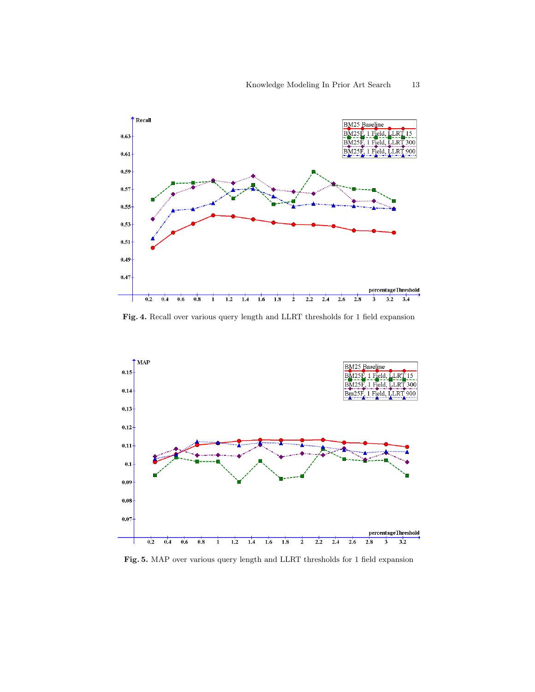

Fig. 4. Recall over various query length and LLRT thresholds for 1 field expansion



Fig. 5. MAP over various query length and LLRT thresholds for 1 field expansion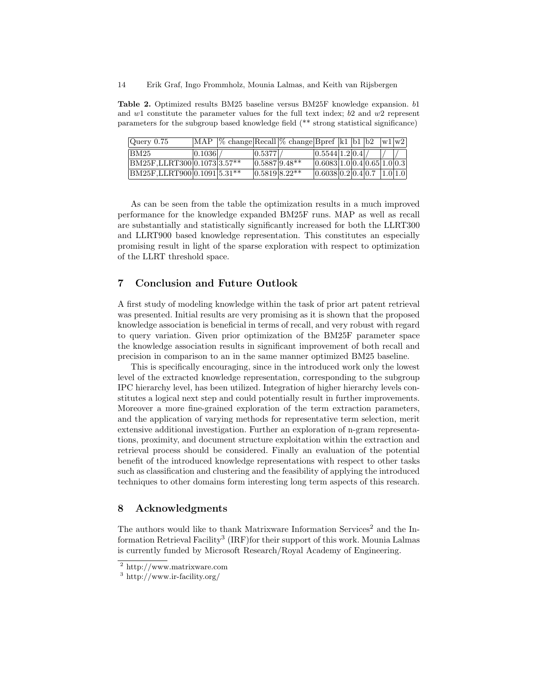Table 2. Optimized results BM25 baseline versus BM25F knowledge expansion. *b*1 and *w*1 constitute the parameter values for the full text index; *b*2 and *w*2 represent parameters for the subgroup based knowledge field (\*\* strong statistical significance)

| $\sqrt{\Omega}$ Query 0.75      |        |        | MAP $\%$ change Recall $\%$ change Bpref  k1  b1  b2 |                               |  |  | w1 w2 |
|---------------------------------|--------|--------|------------------------------------------------------|-------------------------------|--|--|-------|
| IBM25                           | 0.1036 | 0.5377 |                                                      | 0.5544 1.2 0.4                |  |  |       |
| $ BM25F, LLRT300 0.1073 3.57**$ |        |        | $ 0.5887 9.48**$                                     | [0.6083 1.0 0.4 0.65 1.0 0.3] |  |  |       |
| BM25F,LLRT900 0.1091 5.31**     |        |        | $ 0.5819 8.22**$                                     | 0.6038 0.2 0.4 0.7 1.0 1.0    |  |  |       |

As can be seen from the table the optimization results in a much improved performance for the knowledge expanded BM25F runs. MAP as well as recall are substantially and statistically significantly increased for both the LLRT300 and LLRT900 based knowledge representation. This constitutes an especially promising result in light of the sparse exploration with respect to optimization of the LLRT threshold space.

# 7 Conclusion and Future Outlook

A first study of modeling knowledge within the task of prior art patent retrieval was presented. Initial results are very promising as it is shown that the proposed knowledge association is beneficial in terms of recall, and very robust with regard to query variation. Given prior optimization of the BM25F parameter space the knowledge association results in significant improvement of both recall and precision in comparison to an in the same manner optimized BM25 baseline.

This is specifically encouraging, since in the introduced work only the lowest level of the extracted knowledge representation, corresponding to the subgroup IPC hierarchy level, has been utilized. Integration of higher hierarchy levels constitutes a logical next step and could potentially result in further improvements. Moreover a more fine-grained exploration of the term extraction parameters, and the application of varying methods for representative term selection, merit extensive additional investigation. Further an exploration of n-gram representations, proximity, and document structure exploitation within the extraction and retrieval process should be considered. Finally an evaluation of the potential benefit of the introduced knowledge representations with respect to other tasks such as classification and clustering and the feasibility of applying the introduced techniques to other domains form interesting long term aspects of this research.

# 8 Acknowledgments

The authors would like to thank Matrixware Information Services<sup>2</sup> and the Information Retrieval Facility<sup>3</sup> (IRF)for their support of this work. Mounia Lalmas is currently funded by Microsoft Research/Royal Academy of Engineering.

<sup>2</sup> http://www.matrixware.com

<sup>3</sup> http://www.ir-facility.org/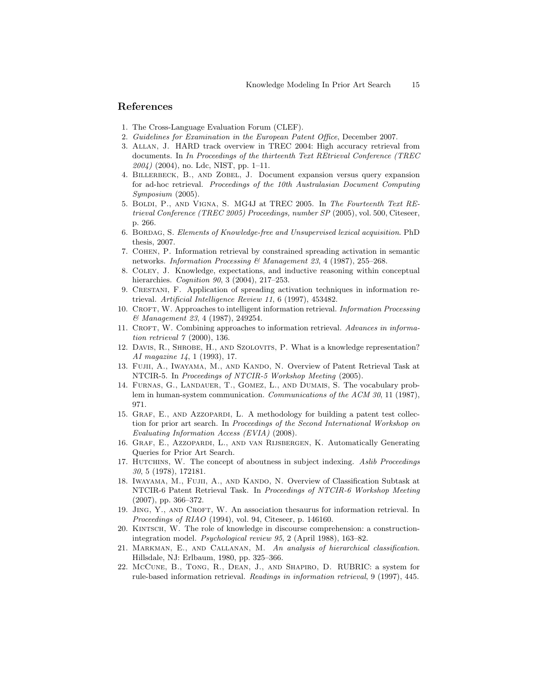# References

- 1. The Cross-Language Evaluation Forum (CLEF).
- 2. Guidelines for Examination in the European Patent Office, December 2007.
- 3. Allan, J. HARD track overview in TREC 2004: High accuracy retrieval from documents. In In Proceedings of the thirteenth Text REtrieval Conference (TREC  $2004$ ) (2004), no. Ldc, NIST, pp. 1–11.
- 4. Billerbeck, B., and Zobel, J. Document expansion versus query expansion for ad-hoc retrieval. Proceedings of the 10th Australasian Document Computing Symposium (2005).
- 5. Boldi, P., and Vigna, S. MG4J at TREC 2005. In The Fourteenth Text REtrieval Conference (TREC 2005) Proceedings, number SP (2005), vol. 500, Citeseer, p. 266.
- 6. Bordag, S. Elements of Knowledge-free and Unsupervised lexical acquisition. PhD thesis, 2007.
- 7. Cohen, P. Information retrieval by constrained spreading activation in semantic networks. Information Processing & Management 23, 4 (1987), 255–268.
- 8. Coley, J. Knowledge, expectations, and inductive reasoning within conceptual hierarchies. *Cognition 90*, 3 (2004), 217–253.
- 9. Crestani, F. Application of spreading activation techniques in information retrieval. Artificial Intelligence Review 11, 6 (1997), 453482.
- 10. CROFT, W. Approaches to intelligent information retrieval. Information Processing & Management 23, 4 (1987), 249254.
- 11. CROFT, W. Combining approaches to information retrieval. Advances in information retrieval 7 (2000), 136.
- 12. Davis, R., Shrobe, H., and Szolovits, P. What is a knowledge representation? AI magazine 14, 1 (1993), 17.
- 13. Fujii, A., Iwayama, M., and Kando, N. Overview of Patent Retrieval Task at NTCIR-5. In Proceedings of NTCIR-5 Workshop Meeting (2005).
- 14. Furnas, G., Landauer, T., Gomez, L., and Dumais, S. The vocabulary problem in human-system communication. Communications of the ACM 30, 11 (1987), 971.
- 15. Graf, E., and Azzopardi, L. A methodology for building a patent test collection for prior art search. In Proceedings of the Second International Workshop on Evaluating Information Access (EVIA) (2008).
- 16. Graf, E., Azzopardi, L., and van Rijsbergen, K. Automatically Generating Queries for Prior Art Search.
- 17. HUTCHINS, W. The concept of aboutness in subject indexing. Aslib Proceedings 30, 5 (1978), 172181.
- 18. Iwayama, M., Fujii, A., and Kando, N. Overview of Classification Subtask at NTCIR-6 Patent Retrieval Task. In Proceedings of NTCIR-6 Workshop Meeting (2007), pp. 366–372.
- 19. Jing, Y., and Croft, W. An association thesaurus for information retrieval. In Proceedings of RIAO (1994), vol. 94, Citeseer, p. 146160.
- 20. Kintsch, W. The role of knowledge in discourse comprehension: a constructionintegration model. Psychological review 95, 2 (April 1988), 163–82.
- 21. Markman, E., and Callanan, M. An analysis of hierarchical classification. Hillsdale, NJ: Erlbaum, 1980, pp. 325–366.
- 22. McCune, B., Tong, R., Dean, J., and Shapiro, D. RUBRIC: a system for rule-based information retrieval. Readings in information retrieval, 9 (1997), 445.